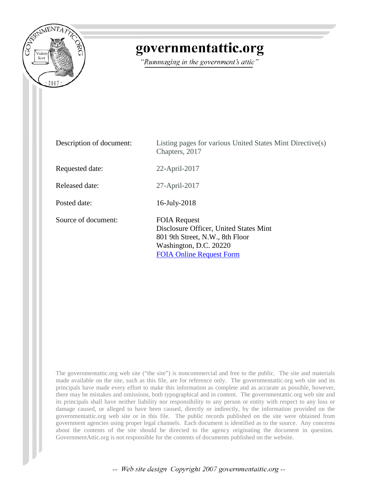

## governmentattic.org

"Rummaging in the government's attic"

| Description of document: | Listing pages for various United States Mint Directive(s)<br>Chapters, 2017                                                                                   |
|--------------------------|---------------------------------------------------------------------------------------------------------------------------------------------------------------|
| Requested date:          | 22-April-2017                                                                                                                                                 |
| Released date:           | 27-April-2017                                                                                                                                                 |
| Posted date:             | 16-July-2018                                                                                                                                                  |
| Source of document:      | <b>FOIA Request</b><br>Disclosure Officer, United States Mint<br>801 9th Street, N.W., 8th Floor<br>Washington, D.C. 20220<br><b>FOIA Online Request Form</b> |

The governmentattic.org web site ("the site") is noncommercial and free to the public. The site and materials made available on the site, such as this file, are for reference only. The governmentattic.org web site and its principals have made every effort to make this information as complete and as accurate as possible, however, there may be mistakes and omissions, both typographical and in content. The governmentattic.org web site and its principals shall have neither liability nor responsibility to any person or entity with respect to any loss or damage caused, or alleged to have been caused, directly or indirectly, by the information provided on the governmentattic.org web site or in this file. The public records published on the site were obtained from government agencies using proper legal channels. Each document is identified as to the source. Any concerns about the contents of the site should be directed to the agency originating the document in question. GovernmentAttic.org is not responsible for the contents of documents published on the website.

-- Web site design Copyright 2007 governmentattic.org --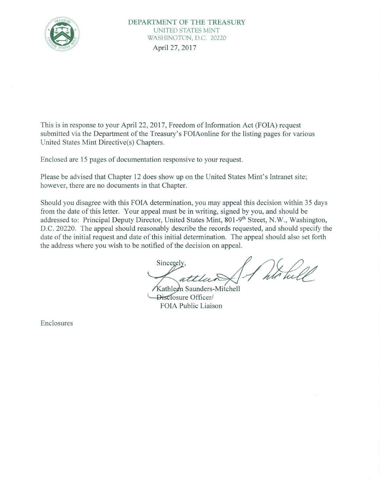

This is in response to your April 22, 2017, Freedom of Information Act (FOIA) request submitted via the Department of the Treasury's FOIAonline for the listing pages for various United States Mint Directive(s) Chapters.

Enclosed are 15 pages of documentation responsive to your request.

Please be advised that Chapter 12 does show up on the United States Mint's Intranet site; however, there are no documents in that Chapter.

Should you disagree with this FOIA determination, you may appeal this decision within 35 days from the date of this letter. Your appeal must be in writing, signed by you, and should be addressed to: Principal Deputy Director, United States Mint, 801-9th Street, N.W., Washington, D.C. 20220. The appeal should reasonably describe the records requested, and should specify the date of the initial request and date of this initial determination. The appeal should also set forth the address where you wish to be notified of the decision on appeal.

Sincerely,

Kathleen Saunders-Mitchell -Disclosure Officer/ FOIA Public Liaison

Enclosures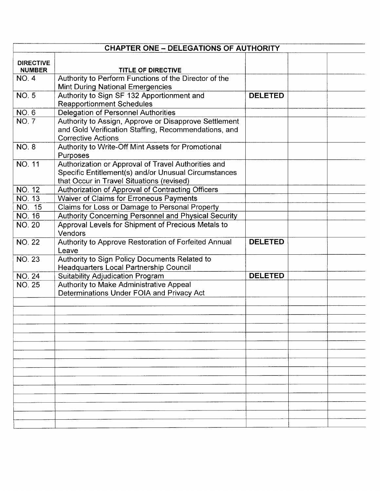|                                   | <b>CHAPTER ONE - DELEGATIONS OF AUTHORITY</b>                                                          |                |  |
|-----------------------------------|--------------------------------------------------------------------------------------------------------|----------------|--|
|                                   |                                                                                                        |                |  |
| <b>DIRECTIVE</b><br><b>NUMBER</b> | TITLE OF DIRECTIVE                                                                                     |                |  |
| <b>NO.4</b>                       | Authority to Perform Functions of the Director of the                                                  |                |  |
|                                   | <b>Mint During National Emergencies</b>                                                                |                |  |
| <b>NO.5</b>                       | Authority to Sign SF 132 Apportionment and                                                             | <b>DELETED</b> |  |
|                                   | <b>Reapportionment Schedules</b>                                                                       |                |  |
| <b>NO.6</b>                       | <b>Delegation of Personnel Authorities</b>                                                             |                |  |
| <b>NO.7</b>                       | Authority to Assign, Approve or Disapprove Settlement                                                  |                |  |
|                                   | and Gold Verification Staffing, Recommendations, and                                                   |                |  |
|                                   | <b>Corrective Actions</b>                                                                              |                |  |
| <b>NO. 8</b>                      | Authority to Write-Off Mint Assets for Promotional                                                     |                |  |
|                                   | Purposes                                                                                               |                |  |
| NO. 11                            | Authorization or Approval of Travel Authorities and                                                    |                |  |
|                                   | Specific Entitlement(s) and/or Unusual Circumstances                                                   |                |  |
| <b>NO. 12</b>                     | that Occur in Travel Situations (revised)                                                              |                |  |
| <b>NO. 13</b>                     | Authorization of Approval of Contracting Officers                                                      |                |  |
| NO. 15                            | Waiver of Claims for Erroneous Payments                                                                |                |  |
| <b>NO. 16</b>                     | Claims for Loss or Damage to Personal Property<br>Authority Concerning Personnel and Physical Security |                |  |
| <b>NO. 20</b>                     | Approval Levels for Shipment of Precious Metals to                                                     |                |  |
|                                   | Vendors                                                                                                |                |  |
| <b>NO. 22</b>                     | Authority to Approve Restoration of Forfeited Annual                                                   | <b>DELETED</b> |  |
|                                   | Leave                                                                                                  |                |  |
| <b>NO. 23</b>                     | Authority to Sign Policy Documents Related to                                                          |                |  |
|                                   | Headquarters Local Partnership Council                                                                 |                |  |
| <b>NO. 24</b>                     | Suitability Adjudication Program                                                                       | <b>DELETED</b> |  |
| <b>NO. 25</b>                     | Authority to Make Administrative Appeal                                                                |                |  |
|                                   | Determinations Under FOIA and Privacy Act                                                              |                |  |
|                                   |                                                                                                        |                |  |
|                                   |                                                                                                        |                |  |
|                                   |                                                                                                        |                |  |
|                                   |                                                                                                        |                |  |
|                                   |                                                                                                        |                |  |
|                                   |                                                                                                        |                |  |
|                                   |                                                                                                        |                |  |
|                                   |                                                                                                        |                |  |
|                                   |                                                                                                        |                |  |
|                                   |                                                                                                        |                |  |
|                                   |                                                                                                        |                |  |
|                                   |                                                                                                        |                |  |
|                                   |                                                                                                        |                |  |
|                                   |                                                                                                        |                |  |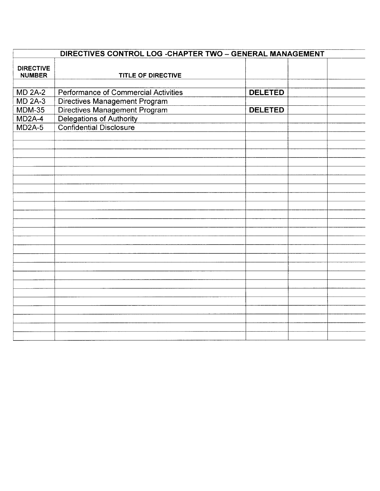| DIRECTIVES CONTROL LOG - CHAPTER TWO - GENERAL MANAGEMENT |                                                                                      |                |  |  |
|-----------------------------------------------------------|--------------------------------------------------------------------------------------|----------------|--|--|
| <b>DIRECTIVE</b><br><b>NUMBER</b>                         | <b>TITLE OF DIRECTIVE</b>                                                            |                |  |  |
|                                                           |                                                                                      |                |  |  |
| <b>MD 2A-2</b>                                            | Performance of Commercial Activities                                                 | <b>DELETED</b> |  |  |
| <b>MD 2A-3</b>                                            | <b>Directives Management Program</b>                                                 |                |  |  |
| $MDM-35$                                                  | Directives Management Program<br>Delegations of Authority<br>Confidential Disclosure | <b>DELETED</b> |  |  |
| MD <sub>2</sub> A-4                                       |                                                                                      |                |  |  |
| $MD2A-5$                                                  |                                                                                      |                |  |  |
|                                                           |                                                                                      |                |  |  |
|                                                           |                                                                                      |                |  |  |
|                                                           |                                                                                      |                |  |  |
|                                                           |                                                                                      |                |  |  |
|                                                           |                                                                                      |                |  |  |
|                                                           |                                                                                      |                |  |  |
|                                                           |                                                                                      |                |  |  |
|                                                           |                                                                                      |                |  |  |
|                                                           |                                                                                      |                |  |  |
|                                                           |                                                                                      |                |  |  |
|                                                           |                                                                                      |                |  |  |
|                                                           |                                                                                      |                |  |  |
|                                                           |                                                                                      |                |  |  |
|                                                           |                                                                                      |                |  |  |
|                                                           |                                                                                      |                |  |  |
|                                                           |                                                                                      |                |  |  |
|                                                           |                                                                                      |                |  |  |
|                                                           |                                                                                      |                |  |  |
|                                                           |                                                                                      |                |  |  |
|                                                           |                                                                                      |                |  |  |
|                                                           |                                                                                      |                |  |  |
|                                                           |                                                                                      |                |  |  |
|                                                           |                                                                                      |                |  |  |
|                                                           |                                                                                      |                |  |  |
|                                                           |                                                                                      |                |  |  |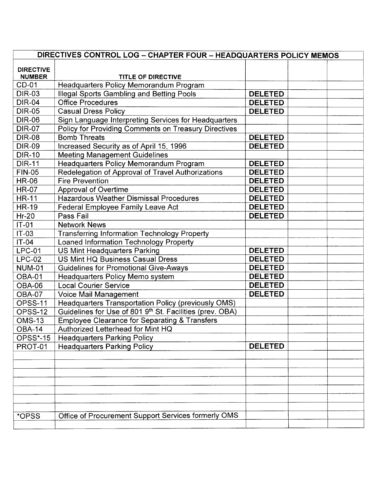| DIRECTIVES CONTROL LOG - CHAPTER FOUR - HEADQUARTERS POLICY MEMOS |                                                          |                |  |
|-------------------------------------------------------------------|----------------------------------------------------------|----------------|--|
| <b>DIRECTIVE</b><br><b>NUMBER</b>                                 | TITLE OF DIRECTIVE                                       |                |  |
| CD-01                                                             | Headquarters Policy Memorandum Program                   |                |  |
| <b>DIR-03</b>                                                     | Illegal Sports Gambling and Betting Pools                | <b>DELETED</b> |  |
| <b>DIR-04</b>                                                     | <b>Office Procedures</b>                                 | <b>DELETED</b> |  |
| <b>DIR-05</b>                                                     | <b>Casual Dress Policy</b>                               | <b>DELETED</b> |  |
| <b>DIR-06</b>                                                     | Sign Language Interpreting Services for Headquarters     |                |  |
| <b>DIR-07</b>                                                     | Policy for Providing Comments on Treasury Directives     |                |  |
| <b>DIR-08</b>                                                     | <b>Bomb Threats</b>                                      | <b>DELETED</b> |  |
| <b>DIR-09</b>                                                     | Increased Security as of April 15, 1996                  | <b>DELETED</b> |  |
| <b>DIR-10</b>                                                     | <b>Meeting Management Guidelines</b>                     |                |  |
| <b>DIR-11</b>                                                     | Headquarters Policy Memorandum Program                   | <b>DELETED</b> |  |
| <b>FIN-05</b>                                                     | Redelegation of Approval of Travel Authorizations        | <b>DELETED</b> |  |
| <b>HR-06</b>                                                      | <b>Fire Prevention</b>                                   | <b>DELETED</b> |  |
| <b>HR-07</b>                                                      | <b>Approval of Overtime</b>                              | <b>DELETED</b> |  |
| <b>HR-11</b>                                                      | <b>Hazardous Weather Dismissal Procedures</b>            | <b>DELETED</b> |  |
| <b>HR-19</b>                                                      | <b>Federal Employee Family Leave Act</b>                 | <b>DELETED</b> |  |
| $Hr-20$                                                           | Pass Fail                                                | <b>DELETED</b> |  |
| $IT-01$                                                           | <b>Network News</b>                                      |                |  |
| IT-03                                                             | <b>Transferring Information Technology Property</b>      |                |  |
| $IT-04$                                                           | Loaned Information Technology Property                   |                |  |
| <b>LPC-01</b>                                                     | <b>US Mint Headquarters Parking</b>                      | <b>DELETED</b> |  |
| <b>LPC-02</b>                                                     | US Mint HQ Business Casual Dress                         | <b>DELETED</b> |  |
| <b>NUM-01</b>                                                     | <b>Guidelines for Promotional Give-Aways</b>             | <b>DELETED</b> |  |
| <b>OBA-01</b>                                                     | Headquarters Policy Memo system                          | <b>DELETED</b> |  |
| OBA-06                                                            | <b>Local Courier Service</b>                             | <b>DELETED</b> |  |
| <b>OBA-07</b>                                                     | Voice Mail Management                                    | <b>DELETED</b> |  |
| OPSS-11                                                           | Headquarters Transportation Policy (previously OMS)      |                |  |
| OPSS-12                                                           | Guidelines for Use of 801 9th St. Facilities (prev. OBA) |                |  |
| <b>OMS-13</b>                                                     | <b>Employee Clearance for Separating &amp; Transfers</b> |                |  |
| OBA-14                                                            | Authorized Letterhead for Mint HQ                        |                |  |
| <b>OPSS*-15</b>                                                   | <b>Headquarters Parking Policy</b>                       |                |  |
| PROT-01                                                           | <b>Headquarters Parking Policy</b>                       | <b>DELETED</b> |  |
|                                                                   |                                                          |                |  |
|                                                                   |                                                          |                |  |
|                                                                   |                                                          |                |  |
|                                                                   |                                                          |                |  |
|                                                                   |                                                          |                |  |
|                                                                   |                                                          |                |  |
|                                                                   |                                                          |                |  |
| *OPSS                                                             | Office of Procurement Support Services formerly OMS      |                |  |
|                                                                   |                                                          |                |  |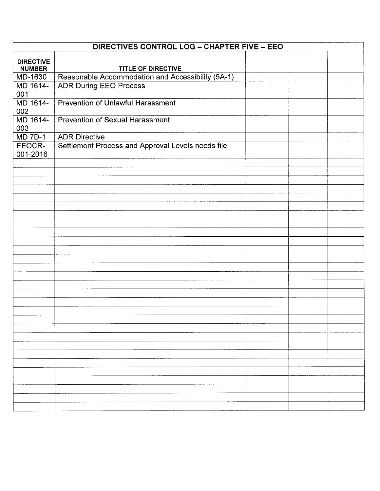|                    | DIRECTIVES CONTROL LOG - CHAPTER FIVE - EEO       |  |  |  |
|--------------------|---------------------------------------------------|--|--|--|
| <b>DIRECTIVE</b>   |                                                   |  |  |  |
| <b>NUMBER</b>      | TITLE OF DIRECTIVE                                |  |  |  |
| MD-1630            | Reasonable Accommodation and Accessibility (5A-1) |  |  |  |
| MD 1614-           | <b>ADR During EEO Process</b>                     |  |  |  |
| 001                |                                                   |  |  |  |
| MD 1614-           | Prevention of Unlawful Harassment                 |  |  |  |
| 002                |                                                   |  |  |  |
| MD 1614-           | <b>Prevention of Sexual Harassment</b>            |  |  |  |
| 003                |                                                   |  |  |  |
| <b>MD 7D-1</b>     | <b>ADR Directive</b>                              |  |  |  |
| EEOCR-<br>001-2016 | Settlement Process and Approval Levels needs file |  |  |  |
|                    |                                                   |  |  |  |
|                    |                                                   |  |  |  |
|                    |                                                   |  |  |  |
|                    |                                                   |  |  |  |
|                    |                                                   |  |  |  |
|                    |                                                   |  |  |  |
|                    |                                                   |  |  |  |
|                    |                                                   |  |  |  |
|                    |                                                   |  |  |  |
|                    |                                                   |  |  |  |
|                    |                                                   |  |  |  |
|                    |                                                   |  |  |  |
|                    |                                                   |  |  |  |
|                    |                                                   |  |  |  |
|                    |                                                   |  |  |  |
|                    |                                                   |  |  |  |
|                    |                                                   |  |  |  |
|                    |                                                   |  |  |  |
|                    |                                                   |  |  |  |
|                    |                                                   |  |  |  |
|                    |                                                   |  |  |  |
|                    |                                                   |  |  |  |
|                    |                                                   |  |  |  |
|                    |                                                   |  |  |  |
|                    |                                                   |  |  |  |
|                    |                                                   |  |  |  |
|                    |                                                   |  |  |  |
|                    |                                                   |  |  |  |
|                    |                                                   |  |  |  |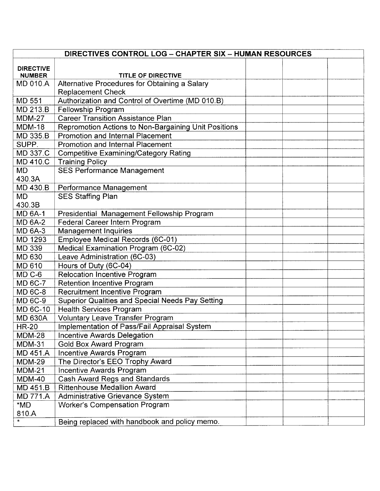|                                   | DIRECTIVES CONTROL LOG - CHAPTER SIX - HUMAN RESOURCES  |  |  |  |
|-----------------------------------|---------------------------------------------------------|--|--|--|
|                                   |                                                         |  |  |  |
| <b>DIRECTIVE</b><br><b>NUMBER</b> | <b>TITLE OF DIRECTIVE</b>                               |  |  |  |
| <b>MD 010.A</b>                   | Alternative Procedures for Obtaining a Salary           |  |  |  |
|                                   | <b>Replacement Check</b>                                |  |  |  |
| MD 551                            | Authorization and Control of Overtime (MD 010.B)        |  |  |  |
| MD 213.B                          | Fellowship Program                                      |  |  |  |
| <b>MDM-27</b>                     | <b>Career Transition Assistance Plan</b>                |  |  |  |
| <b>MDM-18</b>                     | Repromotion Actions to Non-Bargaining Unit Positions    |  |  |  |
| <b>MD 335.B</b>                   | <b>Promotion and Internal Placement</b>                 |  |  |  |
| SUPP.                             | <b>Promotion and Internal Placement</b>                 |  |  |  |
| MD 337.C                          | <b>Competitive Examining/Category Rating</b>            |  |  |  |
| MD 410.C                          | <b>Training Policy</b>                                  |  |  |  |
| <b>MD</b>                         | <b>SES Performance Management</b>                       |  |  |  |
| 430.3A                            |                                                         |  |  |  |
| MD 430.B                          | Performance Management                                  |  |  |  |
| <b>MD</b>                         | <b>SES Staffing Plan</b>                                |  |  |  |
| 430.3B                            |                                                         |  |  |  |
| <b>MD 6A-1</b>                    | Presidential Management Fellowship Program              |  |  |  |
| <b>MD 6A-2</b>                    | Federal Career Intern Program                           |  |  |  |
| <b>MD 6A-3</b>                    | <b>Management Inquiries</b>                             |  |  |  |
| MD 1293                           | Employee Medical Records (6C-01)                        |  |  |  |
| <b>MD 339</b>                     | Medical Examination Program (6C-02)                     |  |  |  |
| <b>MD 630</b>                     | Leave Administration (6C-03)                            |  |  |  |
| <b>MD 610</b>                     | Hours of Duty (6C-04)                                   |  |  |  |
| MD <sub>C</sub> -6                | <b>Relocation Incentive Program</b>                     |  |  |  |
| <b>MD 6C-7</b>                    | <b>Retention Incentive Program</b>                      |  |  |  |
| <b>MD 6C-8</b>                    | <b>Recruitment Incentive Program</b>                    |  |  |  |
| <b>MD 6C-9</b>                    | <b>Superior Qualities and Special Needs Pay Setting</b> |  |  |  |
| <b>MD 6C-10</b>                   | <b>Health Services Program</b>                          |  |  |  |
| <b>MD 630A</b>                    | Voluntary Leave Transfer Program                        |  |  |  |
| <b>HR-20</b>                      | Implementation of Pass/Fail Appraisal System            |  |  |  |
| <b>MDM-28</b>                     | <b>Incentive Awards Delegation</b>                      |  |  |  |
| <b>MDM-31</b>                     | Gold Box Award Program                                  |  |  |  |
| <b>MD 451.A</b>                   | Incentive Awards Program                                |  |  |  |
| <b>MDM-29</b>                     | The Director's EEO Trophy Award                         |  |  |  |
| $MDM-21$                          | Incentive Awards Program                                |  |  |  |
| <b>MDM-40</b>                     | Cash Award Regs and Standards                           |  |  |  |
| <b>MD 451.B</b>                   | <b>Rittenhouse Medallion Award</b>                      |  |  |  |
| <b>MD 771.A</b>                   | Administrative Grievance System                         |  |  |  |
| *MD                               | <b>Worker's Compensation Program</b>                    |  |  |  |
| 810.A                             |                                                         |  |  |  |
|                                   | Being replaced with handbook and policy memo.           |  |  |  |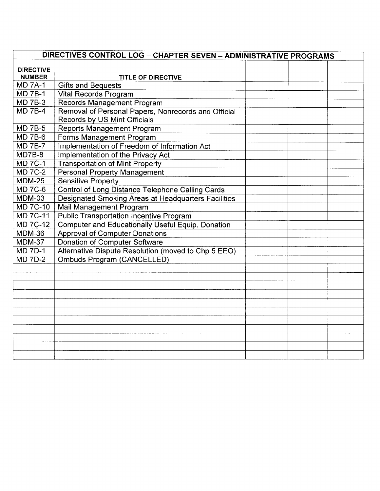|                                   | DIRECTIVES CONTROL LOG - CHAPTER SEVEN - ADMINISTRATIVE PROGRAMS |  |  |  |
|-----------------------------------|------------------------------------------------------------------|--|--|--|
| <b>DIRECTIVE</b><br><b>NUMBER</b> | <b>TITLE OF DIRECTIVE</b>                                        |  |  |  |
| <b>MD 7A-1</b>                    | <b>Gifts and Bequests</b>                                        |  |  |  |
| <b>MD 7B-1</b>                    | Vital Records Program                                            |  |  |  |
| <b>MD 7B-3</b>                    | <b>Records Management Program</b>                                |  |  |  |
| <b>MD 7B-4</b>                    | Removal of Personal Papers, Nonrecords and Official              |  |  |  |
|                                   | Records by US Mint Officials                                     |  |  |  |
| <b>MD 7B-5</b>                    | <b>Reports Management Program</b>                                |  |  |  |
| <b>MD 7B-6</b>                    | Forms Management Program                                         |  |  |  |
| <b>MD 7B-7</b>                    | Implementation of Freedom of Information Act                     |  |  |  |
| MD7B-8                            | Implementation of the Privacy Act                                |  |  |  |
| <b>MD 7C-1</b>                    | <b>Transportation of Mint Property</b>                           |  |  |  |
| <b>MD 7C-2</b>                    | <b>Personal Property Management</b>                              |  |  |  |
| <b>MDM-25</b>                     | <b>Sensitive Property</b>                                        |  |  |  |
| <b>MD 7C-6</b>                    | <b>Control of Long Distance Telephone Calling Cards</b>          |  |  |  |
| MDM-03                            | Designated Smoking Areas at Headquarters Facilities              |  |  |  |
| <b>MD 7C-10</b>                   | Mail Management Program                                          |  |  |  |
| <b>MD 7C-11</b>                   | <b>Public Transportation Incentive Program</b>                   |  |  |  |
| <b>MD 7C-12</b>                   | Computer and Educationally Useful Equip. Donation                |  |  |  |
| <b>MDM-36</b>                     | <b>Approval of Computer Donations</b>                            |  |  |  |
| <b>MDM-37</b>                     | <b>Donation of Computer Software</b>                             |  |  |  |
| <b>MD 7D-1</b>                    | Alternative Dispute Resolution (moved to Chp 5 EEO)              |  |  |  |
| <b>MD 7D-2</b>                    | <b>Ombuds Program (CANCELLED)</b>                                |  |  |  |
|                                   |                                                                  |  |  |  |
|                                   |                                                                  |  |  |  |
|                                   |                                                                  |  |  |  |
|                                   |                                                                  |  |  |  |
|                                   |                                                                  |  |  |  |
|                                   |                                                                  |  |  |  |
|                                   |                                                                  |  |  |  |
|                                   |                                                                  |  |  |  |
|                                   |                                                                  |  |  |  |
|                                   |                                                                  |  |  |  |
|                                   |                                                                  |  |  |  |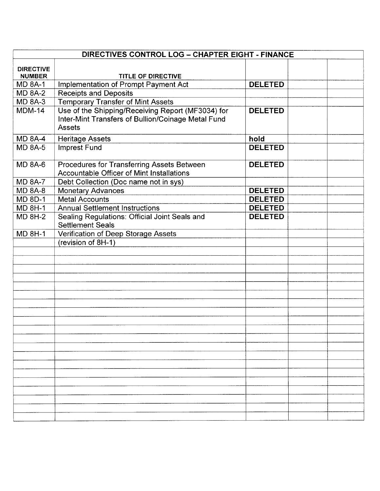|                  | DIRECTIVES CONTROL LOG - CHAPTER EIGHT - FINANCE   |                |  |  |
|------------------|----------------------------------------------------|----------------|--|--|
| <b>DIRECTIVE</b> |                                                    |                |  |  |
| <b>NUMBER</b>    | <b>TITLE OF DIRECTIVE</b>                          |                |  |  |
| <b>MD 8A-1</b>   | <b>Implementation of Prompt Payment Act</b>        | <b>DELETED</b> |  |  |
| <b>MD 8A-2</b>   | <b>Receipts and Deposits</b>                       |                |  |  |
| <b>MD 8A-3</b>   | <b>Temporary Transfer of Mint Assets</b>           |                |  |  |
| <b>MDM-14</b>    | Use of the Shipping/Receiving Report (MF3034) for  | <b>DELETED</b> |  |  |
|                  | Inter-Mint Transfers of Bullion/Coinage Metal Fund |                |  |  |
|                  | <b>Assets</b>                                      |                |  |  |
| $MD 8A-4$        | <b>Heritage Assets</b>                             | hold           |  |  |
| <b>MD 8A-5</b>   | <b>Imprest Fund</b>                                | <b>DELETED</b> |  |  |
|                  |                                                    |                |  |  |
| <b>MD 8A-6</b>   | Procedures for Transferring Assets Between         | <b>DELETED</b> |  |  |
|                  | Accountable Officer of Mint Installations          |                |  |  |
| <b>MD 8A-7</b>   | Debt Collection (Doc name not in sys)              |                |  |  |
| <b>MD 8A-8</b>   | <b>Monetary Advances</b>                           | <b>DELETED</b> |  |  |
| <b>MD 8D-1</b>   | <b>Metal Accounts</b>                              | <b>DELETED</b> |  |  |
| <b>MD 8H-1</b>   | <b>Annual Settlement Instructions</b>              | <b>DELETED</b> |  |  |
| <b>MD 8H-2</b>   | Sealing Regulations: Official Joint Seals and      | <b>DELETED</b> |  |  |
|                  | <b>Settlement Seals</b>                            |                |  |  |
| <b>MD 8H-1</b>   | Verification of Deep Storage Assets                |                |  |  |
|                  | (revision of 8H-1)                                 |                |  |  |
|                  |                                                    |                |  |  |
|                  |                                                    |                |  |  |
|                  |                                                    |                |  |  |
|                  |                                                    |                |  |  |
|                  |                                                    |                |  |  |
|                  |                                                    |                |  |  |
|                  |                                                    |                |  |  |
|                  |                                                    |                |  |  |
|                  |                                                    |                |  |  |
|                  |                                                    |                |  |  |
|                  |                                                    |                |  |  |
|                  |                                                    |                |  |  |
|                  |                                                    |                |  |  |
|                  |                                                    |                |  |  |
|                  |                                                    |                |  |  |
|                  |                                                    |                |  |  |
|                  |                                                    |                |  |  |
|                  |                                                    |                |  |  |
|                  |                                                    |                |  |  |
|                  |                                                    |                |  |  |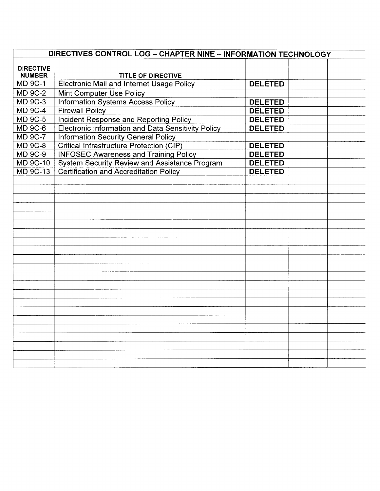|                                   | DIRECTIVES CONTROL LOG - CHAPTER NINE - INFORMATION TECHNOLOGY |                |  |
|-----------------------------------|----------------------------------------------------------------|----------------|--|
| <b>DIRECTIVE</b><br><b>NUMBER</b> | <b>TITLE OF DIRECTIVE</b>                                      |                |  |
| <b>MD 9C-1</b>                    | Electronic Mail and Internet Usage Policy                      | <b>DELETED</b> |  |
| <b>MD 9C-2</b>                    | Mint Computer Use Policy                                       |                |  |
| <b>MD 9C-3</b>                    | <b>Information Systems Access Policy</b>                       | <b>DELETED</b> |  |
| <b>MD 9C-4</b>                    | <b>Firewall Policy</b>                                         | <b>DELETED</b> |  |
| <b>MD 9C-5</b>                    | Incident Response and Reporting Policy                         | <b>DELETED</b> |  |
| <b>MD 9C-6</b>                    | <b>Electronic Information and Data Sensitivity Policy</b>      | <b>DELETED</b> |  |
| <b>MD 9C-7</b>                    | <b>Information Security General Policy</b>                     |                |  |
| <b>MD 9C-8</b>                    | <b>Critical Infrastructure Protection (CIP)</b>                | <b>DELETED</b> |  |
| <b>MD 9C-9</b>                    | <b>INFOSEC Awareness and Training Policy</b>                   | <b>DELETED</b> |  |
| <b>MD 9C-10</b>                   | <b>System Security Review and Assistance Program</b>           | <b>DELETED</b> |  |
| <b>MD 9C-13</b>                   | <b>Certification and Accreditation Policy</b>                  | <b>DELETED</b> |  |
|                                   |                                                                |                |  |
|                                   |                                                                |                |  |
|                                   |                                                                |                |  |
|                                   |                                                                |                |  |
|                                   |                                                                |                |  |
|                                   |                                                                |                |  |
|                                   |                                                                |                |  |
|                                   |                                                                |                |  |
|                                   |                                                                |                |  |
|                                   |                                                                |                |  |
|                                   |                                                                |                |  |
|                                   |                                                                |                |  |
|                                   |                                                                |                |  |
|                                   |                                                                |                |  |
|                                   |                                                                |                |  |
|                                   |                                                                |                |  |
|                                   |                                                                |                |  |
|                                   |                                                                |                |  |
|                                   |                                                                |                |  |
|                                   |                                                                |                |  |
|                                   |                                                                |                |  |
|                                   |                                                                |                |  |

 $\mathcal{L}^{\text{max}}_{\text{max}}$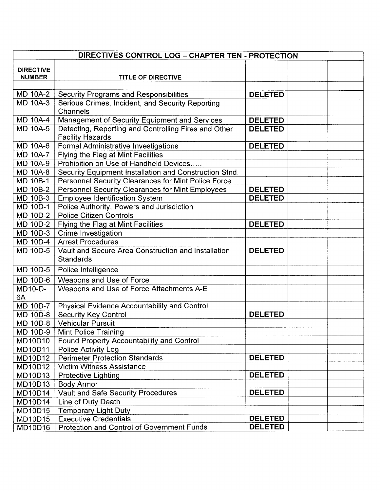|                                   | DIRECTIVES CONTROL LOG - CHAPTER TEN - PROTECTION                               |                |  |  |
|-----------------------------------|---------------------------------------------------------------------------------|----------------|--|--|
|                                   |                                                                                 |                |  |  |
| <b>DIRECTIVE</b><br><b>NUMBER</b> | <b>TITLE OF DIRECTIVE</b>                                                       |                |  |  |
|                                   |                                                                                 |                |  |  |
| MD 10A-2                          | <b>Security Programs and Responsibilities</b>                                   | <b>DELETED</b> |  |  |
| <b>MD 10A-3</b>                   | Serious Crimes, Incident, and Security Reporting                                |                |  |  |
|                                   | Channels                                                                        |                |  |  |
| MD 10A-4                          | Management of Security Equipment and Services                                   | <b>DELETED</b> |  |  |
| <b>MD 10A-5</b>                   | Detecting, Reporting and Controlling Fires and Other<br><b>Facility Hazards</b> | <b>DELETED</b> |  |  |
| <b>MD 10A-6</b>                   | Formal Administrative Investigations                                            | <b>DELETED</b> |  |  |
| <b>MD 10A-7</b>                   | Flying the Flag at Mint Facilities                                              |                |  |  |
| <b>MD 10A-9</b>                   | Prohibition on Use of Handheld Devices                                          |                |  |  |
| <b>MD 10A-8</b>                   | Security Equipment Installation and Construction Stnd.                          |                |  |  |
| <b>MD 10B-1</b>                   | Personnel Security Clearances for Mint Police Force                             |                |  |  |
| <b>MD 10B-2</b>                   | Personnel Security Clearances for Mint Employees                                | <b>DELETED</b> |  |  |
| MD 10B-3                          | <b>Employee Identification System</b>                                           | <b>DELETED</b> |  |  |
| MD 10D-1                          | Police Authority, Powers and Jurisdiction                                       |                |  |  |
| <b>MD 10D-2</b>                   | <b>Police Citizen Controls</b>                                                  |                |  |  |
| MD 10D-2                          | Flying the Flag at Mint Facilities                                              | <b>DELETED</b> |  |  |
| MD 10D-3                          | Crime Investigation                                                             |                |  |  |
| MD 10D-4                          | <b>Arrest Procedures</b>                                                        |                |  |  |
| <b>MD 10D-5</b>                   | Vault and Secure Area Construction and Installation<br><b>Standards</b>         | <b>DELETED</b> |  |  |
| MD 10D-5                          | Police Intelligence                                                             |                |  |  |
| <b>MD 10D-6</b>                   | Weapons and Use of Force                                                        |                |  |  |
| MD10-D-<br>6A                     | Weapons and Use of Force Attachments A-E                                        |                |  |  |
| <b>MD 10D-7</b>                   | <b>Physical Evidence Accountability and Control</b>                             |                |  |  |
| <b>MD 10D-8</b>                   | <b>Security Key Control</b>                                                     | <b>DELETED</b> |  |  |
| <b>MD 10D-8</b>                   | <b>Vehicular Pursuit</b>                                                        |                |  |  |
| MD 10D-9                          | <b>Mint Police Training</b>                                                     |                |  |  |
| <b>MD10D10</b>                    | Found Property Accountability and Control                                       |                |  |  |
| MD10D11                           | <b>Police Activity Log</b>                                                      |                |  |  |
| MD10D12                           | <b>Perimeter Protection Standards</b>                                           | <b>DELETED</b> |  |  |
| MD10D12                           | <b>Victim Witness Assistance</b>                                                |                |  |  |
| MD10D13                           | <b>Protective Lighting</b>                                                      | <b>DELETED</b> |  |  |
| MD10D13                           | <b>Body Armor</b>                                                               |                |  |  |
| MD10D14                           | Vault and Safe Security Procedures                                              | <b>DELETED</b> |  |  |
| MD10D14                           | Line of Duty Death                                                              |                |  |  |
| MD10D15                           | <b>Temporary Light Duty</b>                                                     |                |  |  |
| MD10D15                           | <b>Executive Credentials</b>                                                    | <b>DELETED</b> |  |  |
| <b>MD10D16</b>                    | Protection and Control of Government Funds                                      | <b>DELETED</b> |  |  |

 $\label{eq:2.1} \frac{1}{\sqrt{2}}\int_{\mathbb{R}^3}\frac{1}{\sqrt{2}}\left(\frac{1}{\sqrt{2}}\right)^2\frac{1}{\sqrt{2}}\left(\frac{1}{\sqrt{2}}\right)^2\frac{1}{\sqrt{2}}\left(\frac{1}{\sqrt{2}}\right)^2\frac{1}{\sqrt{2}}\left(\frac{1}{\sqrt{2}}\right)^2\frac{1}{\sqrt{2}}\left(\frac{1}{\sqrt{2}}\right)^2\frac{1}{\sqrt{2}}\frac{1}{\sqrt{2}}\frac{1}{\sqrt{2}}\frac{1}{\sqrt{2}}\frac{1}{\sqrt{2}}\frac{1}{\sqrt{2}}$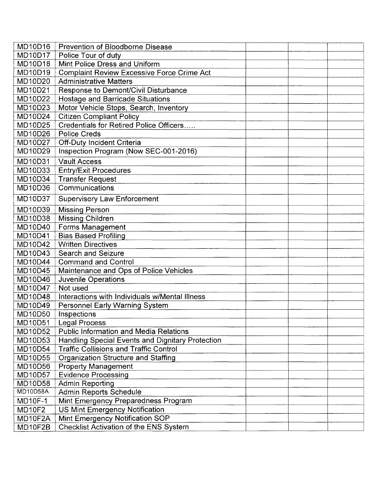| <b>MD10D16</b> | Prevention of Bloodborne Disease                  |  |  |
|----------------|---------------------------------------------------|--|--|
| <b>MD10D17</b> | Police Tour of duty                               |  |  |
| <b>MD10D18</b> | Mint Police Dress and Uniform                     |  |  |
| MD10D19        | <b>Complaint Review Excessive Force Crime Act</b> |  |  |
| MD10D20        | <b>Administrative Matters</b>                     |  |  |
| MD10D21        | Response to Demont/Civil Disturbance              |  |  |
| MD10D22        | <b>Hostage and Barricade Situations</b>           |  |  |
| MD10D23        | Motor Vehicle Stops, Search, Inventory            |  |  |
| <b>MD10D24</b> | <b>Citizen Compliant Policy</b>                   |  |  |
| <b>MD10D25</b> | Credentials for Retired Police Officers           |  |  |
| MD10D26        | <b>Police Creds</b>                               |  |  |
| MD10D27        | Off-Duty Incident Criteria                        |  |  |
| MD10D29        | Inspection Program (Now SEC-001-2016)             |  |  |
| MD10D31        | <b>Vault Access</b>                               |  |  |
| MD10D33        | <b>Entry/Exit Procedures</b>                      |  |  |
| <b>MD10D34</b> | <b>Transfer Request</b>                           |  |  |
| MD10D36        | Communications                                    |  |  |
| <b>MD10D37</b> | <b>Supervisory Law Enforcement</b>                |  |  |
| MD10D39        | <b>Missing Person</b>                             |  |  |
| <b>MD10D38</b> | <b>Missing Children</b>                           |  |  |
| MD10D40        | Forms Management                                  |  |  |
| <b>MD10D41</b> | <b>Bias Based Profiling</b>                       |  |  |
| <b>MD10D42</b> | <b>Written Directives</b>                         |  |  |
| MD10D43        | <b>Search and Seizure</b>                         |  |  |
| <b>MD10D44</b> | <b>Command and Control</b>                        |  |  |
| <b>MD10D45</b> | Maintenance and Ops of Police Vehicles            |  |  |
| <b>MD10D46</b> | <b>Juvenile Operations</b>                        |  |  |
| <b>MD10D47</b> | Not used                                          |  |  |
| <b>MD10D48</b> | Interactions with Individuals w/Mental Illness    |  |  |
| <b>MD10D49</b> | <b>Personnel Early Warning System</b>             |  |  |
| <b>MD10D50</b> | Inspections                                       |  |  |
| MD10D51        | <b>Legal Process</b>                              |  |  |
| <b>MD10D52</b> | <b>Public Information and Media Relations</b>     |  |  |
| MD10D53        | Handling Special Events and Dignitary Protection  |  |  |
| <b>MD10D54</b> | <b>Traffic Collisions and Traffic Control</b>     |  |  |
| <b>MD10D55</b> | <b>Organization Structure and Staffing</b>        |  |  |
| MD10D56        | <b>Property Management</b>                        |  |  |
| MD10D57        | <b>Evidence Processing</b>                        |  |  |
| <b>MD10D58</b> | Admin Reporting                                   |  |  |
| MD10D58A       | <b>Admin Reports Schedule</b>                     |  |  |
| <b>MD10F-1</b> | Mint Emergency Preparedness Program               |  |  |
| <b>MD10F2</b>  | <b>US Mint Emergency Notification</b>             |  |  |
| MD10F2A        | Mint Emergency Notification SOP                   |  |  |
| MD10F2B        | Checklist Activation of the ENS System            |  |  |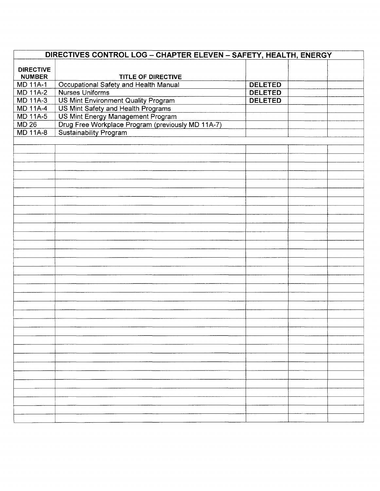| <b>DIRECTIVES CONTROL LOG - CHAPTER ELEVEN - SAFETY, HEALTH, ENERGY</b> |                                                                         |                |  |  |
|-------------------------------------------------------------------------|-------------------------------------------------------------------------|----------------|--|--|
|                                                                         |                                                                         |                |  |  |
| <b>DIRECTIVE</b><br><b>NUMBER</b>                                       |                                                                         |                |  |  |
| <b>MD 11A-1</b>                                                         | <b>TITLE OF DIRECTIVE</b><br>Occupational Safety and Health Manual      | <b>DELETED</b> |  |  |
| <b>MD 11A-2</b>                                                         | Nurses Uniforms                                                         | <b>DELETED</b> |  |  |
| <b>MD 11A-3</b>                                                         | <b>US Mint Environment Quality Program</b>                              | <b>DELETED</b> |  |  |
| <b>MD 11A-4</b>                                                         |                                                                         |                |  |  |
| MD 11A-5                                                                | US Mint Safety and Health Programs<br>US Mint Energy Management Program |                |  |  |
| <b>MD 26</b>                                                            | Drug Free Workplace Program (previously MD 11A-7)                       |                |  |  |
| <b>MD 11A-8</b>                                                         | <b>Sustainability Program</b>                                           |                |  |  |
|                                                                         |                                                                         |                |  |  |
|                                                                         |                                                                         |                |  |  |
|                                                                         |                                                                         |                |  |  |
|                                                                         |                                                                         |                |  |  |
|                                                                         |                                                                         |                |  |  |
|                                                                         |                                                                         |                |  |  |
|                                                                         |                                                                         |                |  |  |
|                                                                         |                                                                         |                |  |  |
|                                                                         |                                                                         |                |  |  |
|                                                                         |                                                                         |                |  |  |
|                                                                         |                                                                         |                |  |  |
|                                                                         |                                                                         |                |  |  |
|                                                                         |                                                                         |                |  |  |
|                                                                         |                                                                         |                |  |  |
|                                                                         |                                                                         |                |  |  |
|                                                                         |                                                                         |                |  |  |
|                                                                         |                                                                         |                |  |  |
|                                                                         |                                                                         |                |  |  |
|                                                                         |                                                                         |                |  |  |
|                                                                         |                                                                         |                |  |  |
|                                                                         |                                                                         |                |  |  |
|                                                                         |                                                                         |                |  |  |
|                                                                         |                                                                         |                |  |  |
|                                                                         |                                                                         |                |  |  |
|                                                                         |                                                                         |                |  |  |
|                                                                         |                                                                         |                |  |  |
|                                                                         |                                                                         |                |  |  |
|                                                                         |                                                                         |                |  |  |
|                                                                         |                                                                         |                |  |  |
|                                                                         |                                                                         |                |  |  |
|                                                                         |                                                                         |                |  |  |
|                                                                         |                                                                         |                |  |  |
|                                                                         |                                                                         |                |  |  |
|                                                                         |                                                                         |                |  |  |
|                                                                         |                                                                         |                |  |  |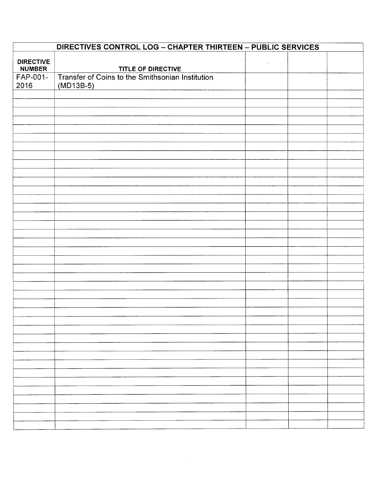| DIRECTIVES CONTROL LOG - CHAPTER THIRTEEN - PUBLIC SERVICES |                                                                 |            |  |  |
|-------------------------------------------------------------|-----------------------------------------------------------------|------------|--|--|
| <b>DIRECTIVE</b><br><b>NUMBER</b>                           | TITLE OF DIRECTIVE                                              | $\epsilon$ |  |  |
| FAP-001-<br>2016                                            | Transfer of Coins to the Smithsonian Institution<br>$(MD13B-5)$ |            |  |  |
|                                                             |                                                                 |            |  |  |
|                                                             |                                                                 |            |  |  |
|                                                             |                                                                 |            |  |  |
|                                                             |                                                                 |            |  |  |
|                                                             |                                                                 |            |  |  |
|                                                             |                                                                 |            |  |  |
|                                                             |                                                                 |            |  |  |
|                                                             |                                                                 |            |  |  |
|                                                             |                                                                 |            |  |  |
|                                                             |                                                                 |            |  |  |
|                                                             |                                                                 |            |  |  |
|                                                             |                                                                 |            |  |  |
|                                                             |                                                                 |            |  |  |
|                                                             |                                                                 |            |  |  |
|                                                             |                                                                 |            |  |  |
|                                                             |                                                                 |            |  |  |
|                                                             |                                                                 |            |  |  |
|                                                             |                                                                 |            |  |  |
|                                                             |                                                                 |            |  |  |
|                                                             |                                                                 |            |  |  |
|                                                             |                                                                 |            |  |  |
|                                                             |                                                                 |            |  |  |
|                                                             |                                                                 |            |  |  |
|                                                             |                                                                 |            |  |  |
|                                                             |                                                                 |            |  |  |
|                                                             |                                                                 |            |  |  |
|                                                             |                                                                 |            |  |  |
|                                                             |                                                                 |            |  |  |
|                                                             |                                                                 |            |  |  |
|                                                             |                                                                 |            |  |  |
|                                                             |                                                                 |            |  |  |
|                                                             |                                                                 |            |  |  |
|                                                             |                                                                 |            |  |  |
|                                                             |                                                                 |            |  |  |
|                                                             |                                                                 |            |  |  |
|                                                             |                                                                 |            |  |  |
|                                                             |                                                                 |            |  |  |
|                                                             |                                                                 |            |  |  |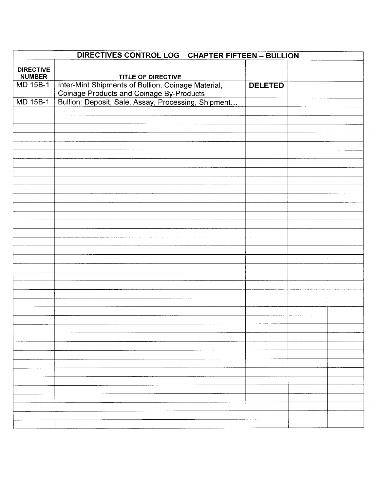| <b>DIRECTIVES CONTROL LOG - CHAPTER FIFTEEN - BULLION</b> |                                                                                                                                                       |                |  |  |
|-----------------------------------------------------------|-------------------------------------------------------------------------------------------------------------------------------------------------------|----------------|--|--|
| <b>DIRECTIVE</b>                                          |                                                                                                                                                       |                |  |  |
| <b>NUMBER</b>                                             | TITLE OF DIRECTIVE                                                                                                                                    |                |  |  |
| MD 15B-1                                                  |                                                                                                                                                       | <b>DELETED</b> |  |  |
|                                                           |                                                                                                                                                       |                |  |  |
| <b>MD 15B-1</b>                                           | Inter-Mint Shipments of Bullion, Coinage Material,<br>Coinage Products and Coinage By-Products<br>Bullion: Deposit, Sale, Assay, Processing, Shipment |                |  |  |
|                                                           |                                                                                                                                                       |                |  |  |
|                                                           |                                                                                                                                                       |                |  |  |
|                                                           |                                                                                                                                                       |                |  |  |
|                                                           |                                                                                                                                                       |                |  |  |
|                                                           |                                                                                                                                                       |                |  |  |
|                                                           |                                                                                                                                                       |                |  |  |
|                                                           |                                                                                                                                                       |                |  |  |
|                                                           |                                                                                                                                                       |                |  |  |
|                                                           |                                                                                                                                                       |                |  |  |
|                                                           |                                                                                                                                                       |                |  |  |
|                                                           |                                                                                                                                                       |                |  |  |
|                                                           |                                                                                                                                                       |                |  |  |
|                                                           |                                                                                                                                                       |                |  |  |
|                                                           |                                                                                                                                                       |                |  |  |
|                                                           |                                                                                                                                                       |                |  |  |
|                                                           |                                                                                                                                                       |                |  |  |
|                                                           |                                                                                                                                                       |                |  |  |
|                                                           |                                                                                                                                                       |                |  |  |
|                                                           |                                                                                                                                                       |                |  |  |
|                                                           |                                                                                                                                                       |                |  |  |
|                                                           |                                                                                                                                                       |                |  |  |
|                                                           |                                                                                                                                                       |                |  |  |
|                                                           |                                                                                                                                                       |                |  |  |
|                                                           |                                                                                                                                                       |                |  |  |
|                                                           |                                                                                                                                                       |                |  |  |
|                                                           |                                                                                                                                                       |                |  |  |
|                                                           |                                                                                                                                                       |                |  |  |
|                                                           |                                                                                                                                                       |                |  |  |
|                                                           |                                                                                                                                                       |                |  |  |
|                                                           |                                                                                                                                                       |                |  |  |
|                                                           |                                                                                                                                                       |                |  |  |
|                                                           |                                                                                                                                                       |                |  |  |
|                                                           |                                                                                                                                                       |                |  |  |
|                                                           |                                                                                                                                                       |                |  |  |
|                                                           |                                                                                                                                                       |                |  |  |
|                                                           |                                                                                                                                                       |                |  |  |
|                                                           |                                                                                                                                                       |                |  |  |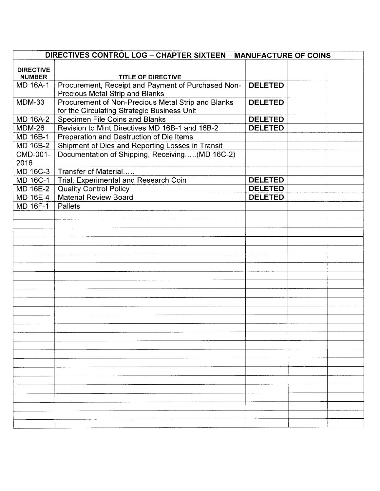| DIRECTIVES CONTROL LOG - CHAPTER SIXTEEN - MANUFACTURE OF COINS |                                                    |                |  |  |
|-----------------------------------------------------------------|----------------------------------------------------|----------------|--|--|
|                                                                 |                                                    |                |  |  |
| <b>DIRECTIVE</b><br><b>NUMBER</b>                               | <b>TITLE OF DIRECTIVE</b>                          |                |  |  |
| <b>MD 16A-1</b>                                                 | Procurement, Receipt and Payment of Purchased Non- | <b>DELETED</b> |  |  |
|                                                                 | Precious Metal Strip and Blanks                    |                |  |  |
| <b>MDM-33</b>                                                   | Procurement of Non-Precious Metal Strip and Blanks | <b>DELETED</b> |  |  |
|                                                                 | for the Circulating Strategic Business Unit        |                |  |  |
| MD 16A-2                                                        | Specimen File Coins and Blanks                     | <b>DELETED</b> |  |  |
| MDM-26                                                          | Revision to Mint Directives MD 16B-1 and 16B-2     | <b>DELETED</b> |  |  |
| MD 16B-1                                                        | Preparation and Destruction of Die Items           |                |  |  |
| MD 16B-2                                                        | Shipment of Dies and Reporting Losses in Transit   |                |  |  |
| CMD-001-                                                        | Documentation of Shipping, Receiving(MD 16C-2)     |                |  |  |
| 2016                                                            |                                                    |                |  |  |
| MD 16C-3                                                        | Transfer of Material                               |                |  |  |
| MD 16C-1                                                        | Trial, Experimental and Research Coin              | <b>DELETED</b> |  |  |
| <b>MD 16E-2</b>                                                 | <b>Quality Control Policy</b>                      | <b>DELETED</b> |  |  |
| MD 16E-4                                                        | <b>Material Review Board</b>                       | <b>DELETED</b> |  |  |
| MD 16F-1                                                        | Pallets                                            |                |  |  |
|                                                                 |                                                    |                |  |  |
|                                                                 |                                                    |                |  |  |
|                                                                 |                                                    |                |  |  |
|                                                                 |                                                    |                |  |  |
|                                                                 |                                                    |                |  |  |
|                                                                 |                                                    |                |  |  |
|                                                                 |                                                    |                |  |  |
|                                                                 |                                                    |                |  |  |
|                                                                 |                                                    |                |  |  |
|                                                                 |                                                    |                |  |  |
|                                                                 |                                                    |                |  |  |
|                                                                 |                                                    |                |  |  |
|                                                                 |                                                    |                |  |  |
|                                                                 |                                                    |                |  |  |
|                                                                 |                                                    |                |  |  |
|                                                                 |                                                    |                |  |  |
|                                                                 |                                                    |                |  |  |
|                                                                 |                                                    |                |  |  |
|                                                                 |                                                    |                |  |  |
|                                                                 |                                                    |                |  |  |
|                                                                 |                                                    |                |  |  |
|                                                                 |                                                    |                |  |  |
|                                                                 |                                                    |                |  |  |
|                                                                 |                                                    |                |  |  |
|                                                                 |                                                    |                |  |  |